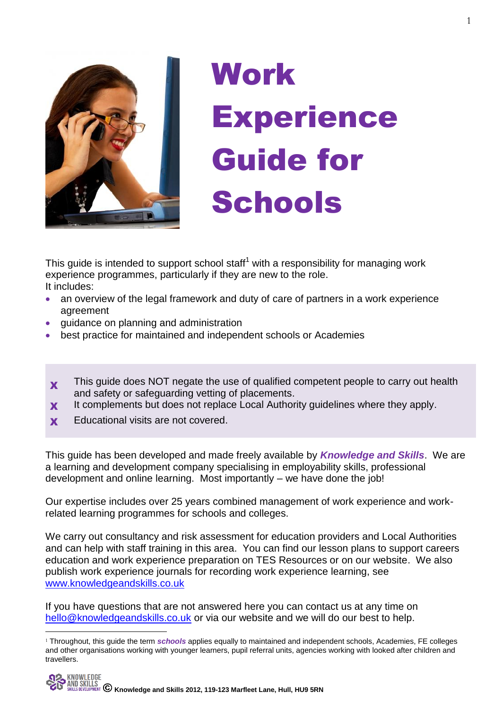

# Work **Experience** Guide for **Schools**

This guide is intended to support school staff<sup>1</sup> with a responsibility for managing work experience programmes, particularly if they are new to the role. It includes:

- an overview of the legal framework and duty of care of partners in a work experience agreement
- guidance on planning and administration
- best practice for maintained and independent schools or Academies
- X This guide does NOT negate the use of qualified competent people to carry out health and safety or safeguarding vetting of placements.
- **X** It complements but does not replace Local Authority guidelines where they apply.
- **x** Educational visits are not covered.

<u>.</u>

This guide has been developed and made freely available by *Knowledge and Skills*. We are a learning and development company specialising in employability skills, professional development and online learning. Most importantly – we have done the job!

Our expertise includes over 25 years combined management of work experience and workrelated learning programmes for schools and colleges.

We carry out consultancy and risk assessment for education providers and Local Authorities and can help with staff training in this area. You can find our lesson plans to support careers education and work experience preparation on TES Resources or on our website. We also publish work experience journals for recording work experience learning, see [www.knowledgeandskills.co.uk](http://www.knowledgeandskills.co.uk/)

If you have questions that are not answered here you can contact us at any time on [hello@knowledgeandskills.co.uk](mailto:hello@knowledgeandskills.co.uk) or via our website and we will do our best to help.

<sup>1</sup> Throughout, this guide the term *schools* applies equally to maintained and independent schools, Academies, FE colleges and other organisations working with younger learners, pupil referral units, agencies working with looked after children and travellers.

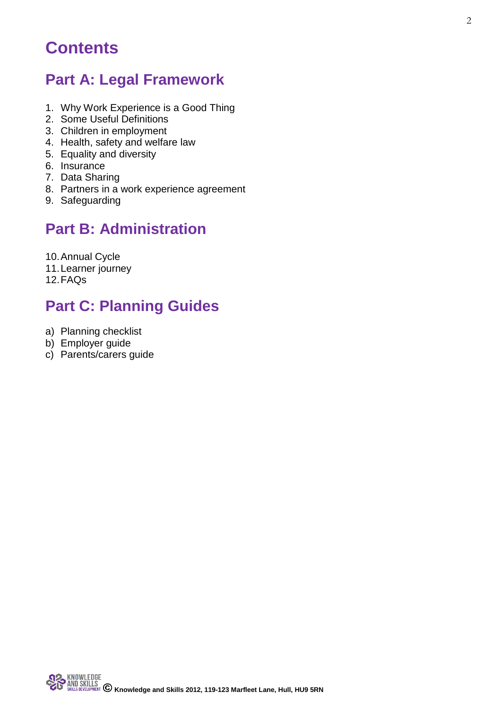## **Contents**

### **Part A: Legal Framework**

- 1. Why Work Experience is a Good Thing
- 2. Some Useful Definitions
- 3. Children in employment
- 4. Health, safety and welfare law
- 5. Equality and diversity
- 6. Insurance
- 7. Data Sharing
- 8. Partners in a work experience agreement
- 9. Safeguarding

### **Part B: Administration**

10.Annual Cycle

- 11.Learner journey
- 12.FAQs

## **Part C: Planning Guides**

- a) Planning checklist
- b) Employer guide
- c) Parents/carers guide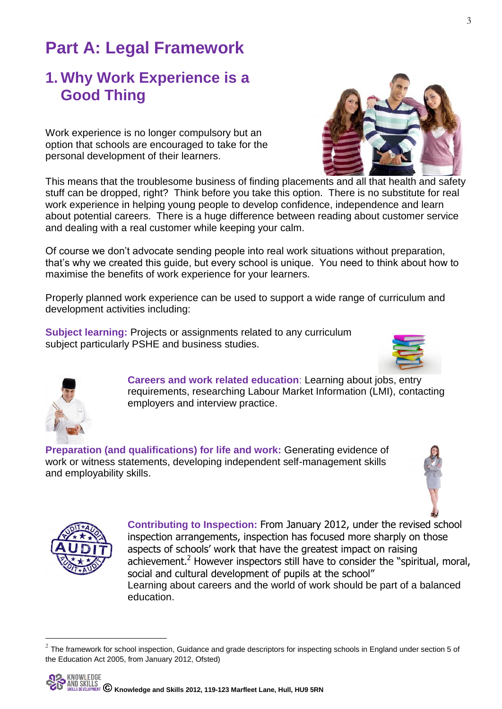## **Part A: Legal Framework**

### **1. Why Work Experience is a Good Thing**

Work experience is no longer compulsory but an option that schools are encouraged to take for the personal development of their learners.

This means that the troublesome business of finding placements and all that health and safety stuff can be dropped, right? Think before you take this option. There is no substitute for real work experience in helping young people to develop confidence, independence and learn about potential careers. There is a huge difference between reading about customer service and dealing with a real customer while keeping your calm.

Of course we don't advocate sending people into real work situations without preparation, that's why we created this guide, but every school is unique. You need to think about how to maximise the benefits of work experience for your learners.

Properly planned work experience can be used to support a wide range of curriculum and development activities including:

**Subject learning:** Projects or assignments related to any curriculum subject particularly PSHE and business studies.

> **Careers and work related education**: Learning about jobs, entry requirements, researching Labour Market Information (LMI), contacting employers and interview practice.

**Preparation (and qualifications) for life and work:** Generating evidence of work or witness statements, developing independent self-management skills and employability skills.

> **Contributing to Inspection:** From January 2012, under the revised school inspection arrangements, inspection has focused more sharply on those aspects of schools' work that have the greatest impact on raising achievement.<sup>2</sup> However inspectors still have to consider the "spiritual, moral, social and cultural development of pupils at the school" Learning about careers and the world of work should be part of a balanced education.



-





3



 $^2$  The framework for school inspection, Guidance and grade descriptors for inspecting schools in England under section 5 of the Education Act 2005, from January 2012, Ofsted)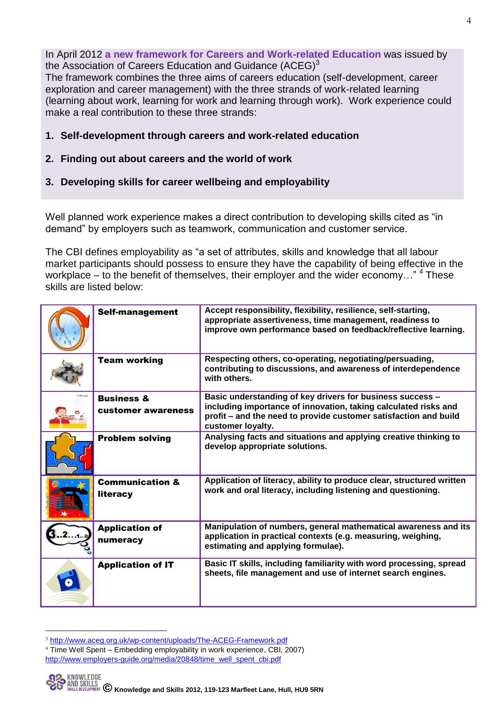In April 2012 **a new framework for Careers and Work-related Education** was issued by the Association of Careers Education and Guidance  $(ACEG)^3$ 

The framework combines the three aims of careers education (self-development, career exploration and career management) with the three strands of work-related learning (learning about work, learning for work and learning through work). Work experience could make a real contribution to these three strands:

- **1. Self-development through careers and work-related education**
- **2. Finding out about careers and the world of work**
- **3. Developing skills for career wellbeing and employability**

Well planned work experience makes a direct contribution to developing skills cited as "in demand" by employers such as teamwork, communication and customer service.

The CBI defines employability as "a set of attributes, skills and knowledge that all labour market participants should possess to ensure they have the capability of being effective in the workplace  $-$  to the benefit of themselves, their employer and the wider economy..."  $4$  These skills are listed below:

| <b>Self-management</b>                      | Accept responsibility, flexibility, resilience, self-starting,<br>appropriate assertiveness, time management, readiness to<br>improve own performance based on feedback/reflective learning.                          |
|---------------------------------------------|-----------------------------------------------------------------------------------------------------------------------------------------------------------------------------------------------------------------------|
| <b>Team working</b>                         | Respecting others, co-operating, negotiating/persuading,<br>contributing to discussions, and awareness of interdependence<br>with others.                                                                             |
| <b>Business &amp;</b><br>customer awareness | Basic understanding of key drivers for business success -<br>including importance of innovation, taking calculated risks and<br>profit – and the need to provide customer satisfaction and build<br>customer loyalty. |
| <b>Problem solving</b>                      | Analysing facts and situations and applying creative thinking to<br>develop appropriate solutions.                                                                                                                    |
| <b>Communication &amp;</b><br>literacy      | Application of literacy, ability to produce clear, structured written<br>work and oral literacy, including listening and questioning.                                                                                 |
| <b>Application of</b><br>numeracy           | Manipulation of numbers, general mathematical awareness and its<br>application in practical contexts (e.g. measuring, weighing,<br>estimating and applying formulae).                                                 |
| <b>Application of IT</b>                    | Basic IT skills, including familiarity with word processing, spread<br>sheets, file management and use of internet search engines.                                                                                    |

<sup>3</sup> <http://www.aceg.org.uk/wp-content/uploads/The-ACEG-Framework.pdf>

-

<sup>4</sup> Time Well Spent – Embedding employability in work experience, CBI, 2007) [http://www.employers-guide.org/media/20848/time\\_well\\_spent\\_cbi.pdf](http://www.employers-guide.org/media/20848/time_well_spent_cbi.pdf)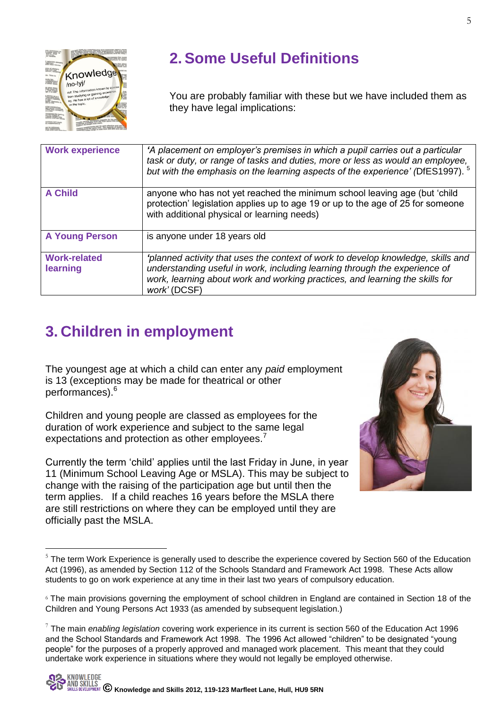

<u>.</u>

## **2. Some Useful Definitions**

You are probably familiar with these but we have included them as they have legal implications:

| <b>Work experience</b>          | 'A placement on employer's premises in which a pupil carries out a particular<br>task or duty, or range of tasks and duties, more or less as would an employee,<br>but with the emphasis on the learning aspects of the experience' (DfES1997). <sup>5</sup>   |
|---------------------------------|----------------------------------------------------------------------------------------------------------------------------------------------------------------------------------------------------------------------------------------------------------------|
| <b>A Child</b>                  | anyone who has not yet reached the minimum school leaving age (but 'child<br>protection' legislation applies up to age 19 or up to the age of 25 for someone<br>with additional physical or learning needs)                                                    |
| <b>A Young Person</b>           | is anyone under 18 years old                                                                                                                                                                                                                                   |
| <b>Work-related</b><br>learning | 'planned activity that uses the context of work to develop knowledge, skills and<br>understanding useful in work, including learning through the experience of<br>work, learning about work and working practices, and learning the skills for<br>work' (DCSF) |

## **3. Children in employment**

The youngest age at which a child can enter any *paid* employment is 13 (exceptions may be made for theatrical or other performances).<sup>6</sup>

Children and young people are classed as employees for the duration of work experience and subject to the same legal expectations and protection as other employees.<sup>7</sup>

Currently the term 'child' applies until the last Friday in June, in year 11 (Minimum School Leaving Age or MSLA). This may be subject to change with the raising of the participation age but until then the term applies. If a child reaches 16 years before the MSLA there are still restrictions on where they can be employed until they are officially past the MSLA.

<sup>&</sup>lt;sup>5</sup> The term Work Experience is generally used to describe the experience covered by Section 560 of the Education Act (1996), as amended by Section 112 of the Schools Standard and Framework Act 1998. These Acts allow students to go on work experience at any time in their last two years of compulsory education.

<sup>6</sup> The main provisions governing the employment of school children in England are contained in Section 18 of the Children and Young Persons Act 1933 (as amended by subsequent legislation.)

<sup>7</sup> The main *enabling legislation* covering work experience in its current is section 560 of the Education Act 1996 and the School Standards and Framework Act 1998. The 1996 Act allowed "children" to be designated "young people" for the purposes of a properly approved and managed work placement. This meant that they could undertake work experience in situations where they would not legally be employed otherwise.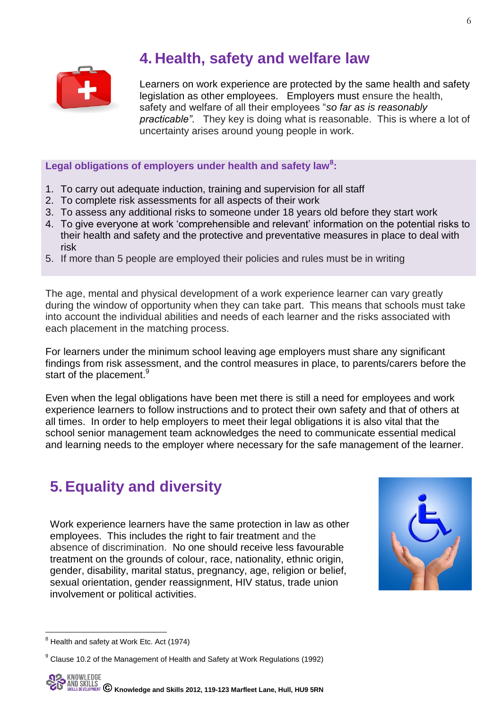

### **4. Health, safety and welfare law**

Learners on work experience are protected by the same health and safety legislation as other employees. Employers must ensure the health, safety and welfare of all their employees "*so far as is reasonably practicable"*. They key is doing what is reasonable. This is where a lot of uncertainty arises around young people in work.

### Legal obligations of employers under health and safety law<sup>8</sup>:

- 1. To carry out adequate induction, training and supervision for all staff
- 2. To complete risk assessments for all aspects of their work
- 3. To assess any additional risks to someone under 18 years old before they start work
- 4. To give everyone at work 'comprehensible and relevant' information on the potential risks to their health and safety and the protective and preventative measures in place to deal with risk
- 5. If more than 5 people are employed their policies and rules must be in writing

The age, mental and physical development of a work experience learner can vary greatly during the window of opportunity when they can take part. This means that schools must take into account the individual abilities and needs of each learner and the risks associated with each placement in the matching process.

For learners under the minimum school leaving age employers must share any significant findings from risk assessment, and the control measures in place, to parents/carers before the start of the placement.<sup>9</sup>

Even when the legal obligations have been met there is still a need for employees and work experience learners to follow instructions and to protect their own safety and that of others at all times. In order to help employers to meet their legal obligations it is also vital that the school senior management team acknowledges the need to communicate essential medical and learning needs to the employer where necessary for the safe management of the learner.

## **5. Equality and diversity**

Work experience learners have the same protection in law as other employees. This includes the right to fair treatment and the absence of discrimination. No one should receive less favourable treatment on the grounds of colour, race, nationality, ethnic origin, gender, disability, marital status, pregnancy, age, religion or belief, sexual orientation, gender reassignment, HIV status, trade union involvement or political activities.



<sup>&</sup>lt;u>.</u>  $8$  Health and safety at Work Etc. Act (1974)

<sup>&</sup>lt;sup>9</sup> Clause 10.2 of the Management of Health and Safety at Work Regulations (1992)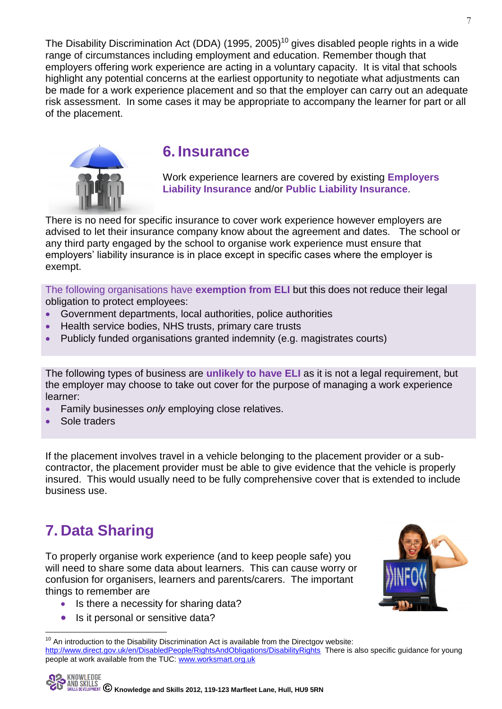The Disability Discrimination Act (DDA) (1995, 2005)<sup>10</sup> gives disabled people rights in a wide range of circumstances including employment and education. Remember though that employers offering work experience are acting in a voluntary capacity. It is vital that schools highlight any potential concerns at the earliest opportunity to negotiate what adjustments can be made for a work experience placement and so that the employer can carry out an adequate risk assessment. In some cases it may be appropriate to accompany the learner for part or all of the placement.



### **6. Insurance**

Work experience learners are covered by existing **Employers Liability Insurance** and/or **Public Liability Insurance**.

There is no need for specific insurance to cover work experience however employers are advised to let their insurance company know about the agreement and dates. The school or any third party engaged by the school to organise work experience must ensure that employers' liability insurance is in place except in specific cases where the employer is exempt.

The following organisations have **exemption from ELI** but this does not reduce their legal obligation to protect employees:

- Government departments, local authorities, police authorities
- Health service bodies, NHS trusts, primary care trusts
- Publicly funded organisations granted indemnity (e.g. magistrates courts)

The following types of business are **unlikely to have ELI** as it is not a legal requirement, but the employer may choose to take out cover for the purpose of managing a work experience learner:

- Family businesses *only* employing close relatives.
- Sole traders

If the placement involves travel in a vehicle belonging to the placement provider or a subcontractor, the placement provider must be able to give evidence that the vehicle is properly insured. This would usually need to be fully comprehensive cover that is extended to include business use.

## **7. Data Sharing**

<u>.</u>

To properly organise work experience (and to keep people safe) you will need to share some data about learners. This can cause worry or confusion for organisers, learners and parents/carers. The important things to remember are

- Is there a necessity for sharing data?
- Is it personal or sensitive data?



 $10$  An introduction to the Disability Discrimination Act is available from the Directgov website: <http://www.direct.gov.uk/en/DisabledPeople/RightsAndObligations/DisabilityRights>There is also specific guidance for young people at work available from the TUC: [www.worksmart.org.uk](http://www.worksmart.org.uk/)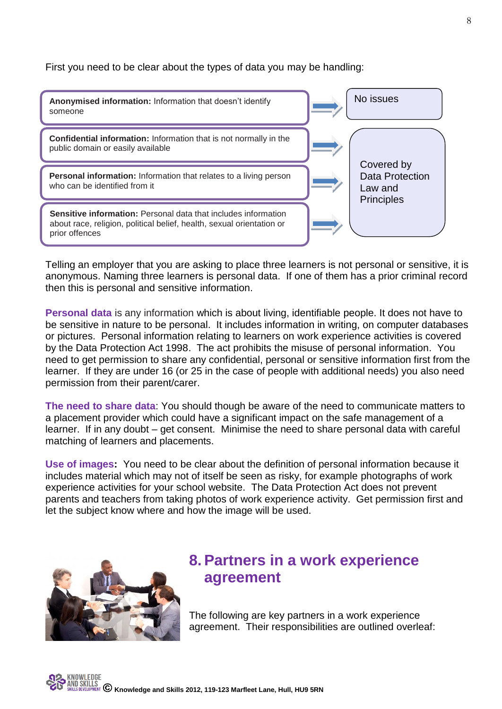First you need to be clear about the types of data you may be handling:



Telling an employer that you are asking to place three learners is not personal or sensitive, it is anonymous. Naming three learners is personal data. If one of them has a prior criminal record then this is personal and sensitive information.

**Personal data** is any information which is about living, identifiable people. It does not have to be sensitive in nature to be personal. It includes information in writing, on computer databases or pictures. Personal information relating to learners on work experience activities is covered by the Data Protection Act 1998. The act prohibits the misuse of personal information. You need to get permission to share any confidential, personal or sensitive information first from the learner. If they are under 16 (or 25 in the case of people with additional needs) you also need permission from their parent/carer.

**The need to share data**: You should though be aware of the need to communicate matters to a placement provider which could have a significant impact on the safe management of a learner. If in any doubt – get consent. Minimise the need to share personal data with careful matching of learners and placements.

**Use of images:** You need to be clear about the definition of personal information because it includes material which may not of itself be seen as risky, for example photographs of work experience activities for your school website. The Data Protection Act does not prevent parents and teachers from taking photos of work experience activity. Get permission first and let the subject know where and how the image will be used.



### **8. Partners in a work experience agreement**

The following are key partners in a work experience agreement. Their responsibilities are outlined overleaf: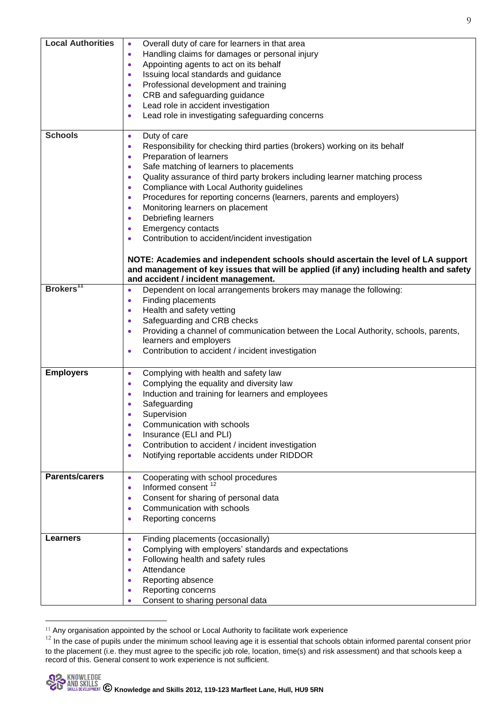| <b>Local Authorities</b> | Overall duty of care for learners in that area<br>$\bullet$                                      |
|--------------------------|--------------------------------------------------------------------------------------------------|
|                          | Handling claims for damages or personal injury<br>$\bullet$                                      |
|                          | Appointing agents to act on its behalf<br>$\bullet$                                              |
|                          | Issuing local standards and guidance<br>$\bullet$                                                |
|                          | Professional development and training<br>$\bullet$                                               |
|                          | CRB and safeguarding guidance<br>$\bullet$                                                       |
|                          | Lead role in accident investigation<br>$\bullet$                                                 |
|                          | Lead role in investigating safeguarding concerns                                                 |
|                          |                                                                                                  |
| <b>Schools</b>           | Duty of care<br>$\bullet$                                                                        |
|                          | Responsibility for checking third parties (brokers) working on its behalf<br>$\bullet$           |
|                          | Preparation of learners<br>$\bullet$                                                             |
|                          | Safe matching of learners to placements<br>$\bullet$                                             |
|                          | Quality assurance of third party brokers including learner matching process<br>$\bullet$         |
|                          | Compliance with Local Authority guidelines<br>$\bullet$                                          |
|                          | Procedures for reporting concerns (learners, parents and employers)<br>$\bullet$                 |
|                          | Monitoring learners on placement<br>$\bullet$                                                    |
|                          | Debriefing learners<br>$\bullet$                                                                 |
|                          | <b>Emergency contacts</b><br>$\bullet$                                                           |
|                          | Contribution to accident/incident investigation<br>$\bullet$                                     |
|                          |                                                                                                  |
|                          | NOTE: Academies and independent schools should ascertain the level of LA support                 |
|                          | and management of key issues that will be applied (if any) including health and safety           |
| Brokers <sup>11</sup>    | and accident / incident management.                                                              |
|                          | Dependent on local arrangements brokers may manage the following:<br>$\bullet$                   |
|                          | Finding placements<br>$\bullet$                                                                  |
|                          | Health and safety vetting<br>$\bullet$                                                           |
|                          | Safeguarding and CRB checks<br>$\bullet$                                                         |
|                          | Providing a channel of communication between the Local Authority, schools, parents,<br>$\bullet$ |
|                          | learners and employers                                                                           |
|                          | Contribution to accident / incident investigation<br>$\bullet$                                   |
| <b>Employers</b>         | Complying with health and safety law<br>$\bullet$                                                |
|                          | Complying the equality and diversity law<br>$\bullet$                                            |
|                          | Induction and training for learners and employees<br>$\bullet$                                   |
|                          | Safeguarding<br>$\bullet$                                                                        |
|                          | Supervision<br>$\bullet$                                                                         |
|                          | Communication with schools<br>$\bullet$                                                          |
|                          | Insurance (ELI and PLI)<br>$\bullet$                                                             |
|                          | Contribution to accident / incident investigation<br>$\bullet$                                   |
|                          | Notifying reportable accidents under RIDDOR<br>$\bullet$                                         |
|                          |                                                                                                  |
| <b>Parents/carers</b>    | Cooperating with school procedures<br>$\bullet$                                                  |
|                          | Informed consent <sup>12</sup><br>$\bullet$                                                      |
|                          | Consent for sharing of personal data<br>$\bullet$                                                |
|                          | Communication with schools<br>$\bullet$                                                          |
|                          | Reporting concerns<br>٠                                                                          |
|                          |                                                                                                  |
| <b>Learners</b>          | Finding placements (occasionally)<br>$\bullet$                                                   |
|                          | Complying with employers' standards and expectations<br>$\bullet$                                |
|                          | Following health and safety rules<br>$\bullet$                                                   |
|                          | Attendance<br>$\bullet$                                                                          |
|                          | Reporting absence<br>$\bullet$                                                                   |
|                          | Reporting concerns<br>٠                                                                          |
|                          | Consent to sharing personal data                                                                 |
|                          |                                                                                                  |

<sup>-</sup> $11$  Any organisation appointed by the school or Local Authority to facilitate work experience

<sup>&</sup>lt;sup>12</sup> In the case of pupils under the minimum school leaving age it is essential that schools obtain informed parental consent prior to the placement (i.e. they must agree to the specific job role, location, time(s) and risk assessment) and that schools keep a record of this. General consent to work experience is not sufficient.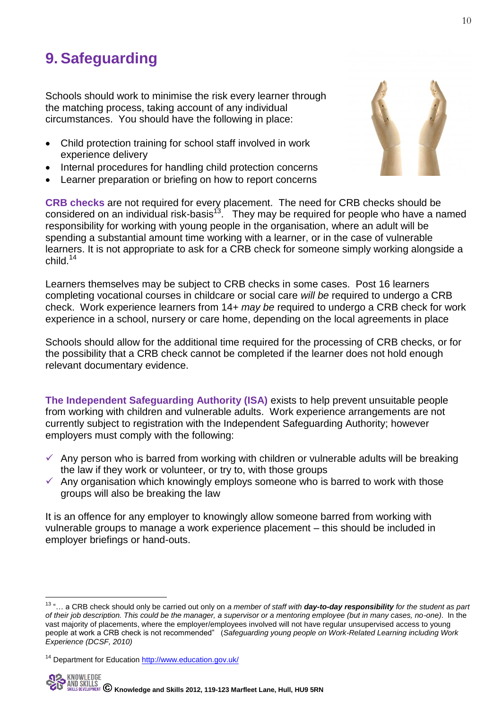## **9. Safeguarding**

Schools should work to minimise the risk every learner through the matching process, taking account of any individual circumstances. You should have the following in place:

- Child protection training for school staff involved in work experience delivery
- Internal procedures for handling child protection concerns
- Learner preparation or briefing on how to report concerns

**CRB checks** are not required for every placement. The need for CRB checks should be considered on an individual risk-basis<sup>13</sup>. They may be required for people who have a named responsibility for working with young people in the organisation, where an adult will be spending a substantial amount time working with a learner, or in the case of vulnerable learners. It is not appropriate to ask for a CRB check for someone simply working alongside a child.<sup>14</sup>

Learners themselves may be subject to CRB checks in some cases. Post 16 learners completing vocational courses in childcare or social care *will be* required to undergo a CRB check. Work experience learners from 14+ *may be* required to undergo a CRB check for work experience in a school, nursery or care home, depending on the local agreements in place

Schools should allow for the additional time required for the processing of CRB checks, or for the possibility that a CRB check cannot be completed if the learner does not hold enough relevant documentary evidence.

**The Independent Safeguarding Authority (ISA)** exists to help prevent unsuitable people from working with children and vulnerable adults. Work experience arrangements are not currently subject to registration with the Independent Safeguarding Authority; however employers must comply with the following:

- $\checkmark$  Any person who is barred from working with children or vulnerable adults will be breaking the law if they work or volunteer, or try to, with those groups
- $\checkmark$  Any organisation which knowingly employs someone who is barred to work with those groups will also be breaking the law

It is an offence for any employer to knowingly allow someone barred from working with vulnerable groups to manage a work experience placement – this should be included in employer briefings or hand-outs.



<sup>-</sup><sup>13</sup> "… a CRB check should only be carried out only on *a member of staff with day-to-day responsibility for the student as part of their job description. This could be the manager, a supervisor or a mentoring employee (but in many cases, no-one)*. In the vast majority of placements, where the employer/employees involved will not have regular unsupervised access to young people at work a CRB check is not recommended" (*Safeguarding young people on Work-Related Learning including Work Experience (DCSF, 2010)*

<sup>14</sup> Department for Education<http://www.education.gov.uk/>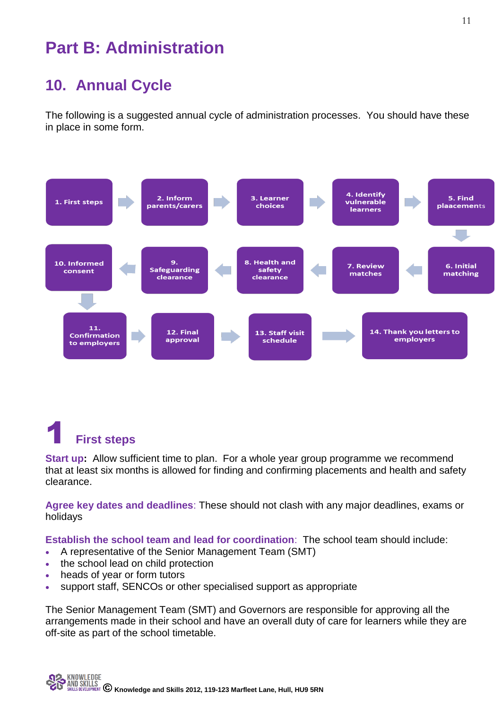## **Part B: Administration**

## **10. Annual Cycle**

The following is a suggested annual cycle of administration processes. You should have these in place in some form.



## **First steps**

**Start up:** Allow sufficient time to plan. For a whole year group programme we recommend that at least six months is allowed for finding and confirming placements and health and safety clearance.

**Agree key dates and deadlines**: These should not clash with any major deadlines, exams or holidays

**Establish the school team and lead for coordination**: The school team should include:

- A representative of the Senior Management Team (SMT)
- the school lead on child protection
- heads of year or form tutors
- support staff, SENCOs or other specialised support as appropriate

The Senior Management Team (SMT) and Governors are responsible for approving all the arrangements made in their school and have an overall duty of care for learners while they are off-site as part of the school timetable.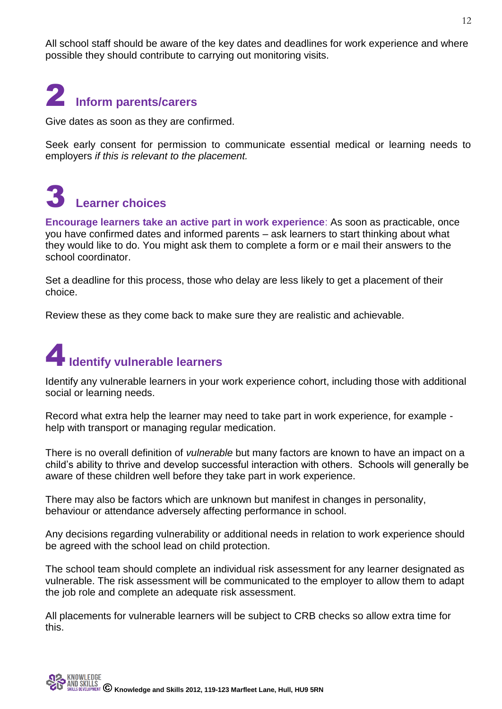All school staff should be aware of the key dates and deadlines for work experience and where possible they should contribute to carrying out monitoring visits.

# 2 **Inform parents/carers**

Give dates as soon as they are confirmed.

Seek early consent for permission to communicate essential medical or learning needs to employers *if this is relevant to the placement.*

## 3 **Learner choices**

**Encourage learners take an active part in work experience**: As soon as practicable, once you have confirmed dates and informed parents – ask learners to start thinking about what they would like to do. You might ask them to complete a form or e mail their answers to the school coordinator.

Set a deadline for this process, those who delay are less likely to get a placement of their choice.

Review these as they come back to make sure they are realistic and achievable.

# 4**Identify vulnerable learners**

Identify any vulnerable learners in your work experience cohort, including those with additional social or learning needs.

Record what extra help the learner may need to take part in work experience, for example help with transport or managing regular medication.

There is no overall definition of *vulnerable* but many factors are known to have an impact on a child's ability to thrive and develop successful interaction with others. Schools will generally be aware of these children well before they take part in work experience.

There may also be factors which are unknown but manifest in changes in personality, behaviour or attendance adversely affecting performance in school.

Any decisions regarding vulnerability or additional needs in relation to work experience should be agreed with the school lead on child protection.

The school team should complete an individual risk assessment for any learner designated as vulnerable. The risk assessment will be communicated to the employer to allow them to adapt the job role and complete an adequate risk assessment.

All placements for vulnerable learners will be subject to CRB checks so allow extra time for this.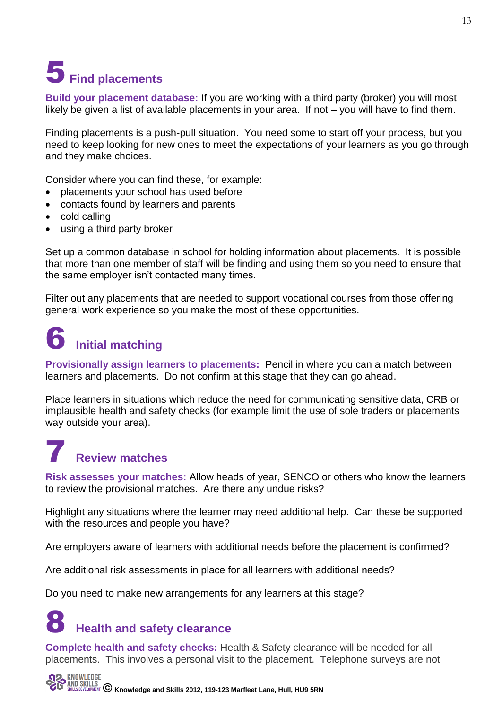# 5**Find placements**

**Build your placement database:** If you are working with a third party (broker) you will most likely be given a list of available placements in your area. If not – you will have to find them.

Finding placements is a push-pull situation. You need some to start off your process, but you need to keep looking for new ones to meet the expectations of your learners as you go through and they make choices.

Consider where you can find these, for example:

- placements your school has used before
- contacts found by learners and parents
- cold calling
- using a third party broker

Set up a common database in school for holding information about placements. It is possible that more than one member of staff will be finding and using them so you need to ensure that the same employer isn't contacted many times.

Filter out any placements that are needed to support vocational courses from those offering general work experience so you make the most of these opportunities.

## 6 **Initial matching**

**Provisionally assign learners to placements:** Pencil in where you can a match between learners and placements. Do not confirm at this stage that they can go ahead.

Place learners in situations which reduce the need for communicating sensitive data, CRB or implausible health and safety checks (for example limit the use of sole traders or placements way outside your area).

## 7 **Review matches**

**Risk assesses your matches:** Allow heads of year, SENCO or others who know the learners to review the provisional matches. Are there any undue risks?

Highlight any situations where the learner may need additional help. Can these be supported with the resources and people you have?

Are employers aware of learners with additional needs before the placement is confirmed?

Are additional risk assessments in place for all learners with additional needs?

Do you need to make new arrangements for any learners at this stage?

## **Health and safety clearance**

**Complete health and safety checks:** Health & Safety clearance will be needed for all placements. This involves a personal visit to the placement. Telephone surveys are not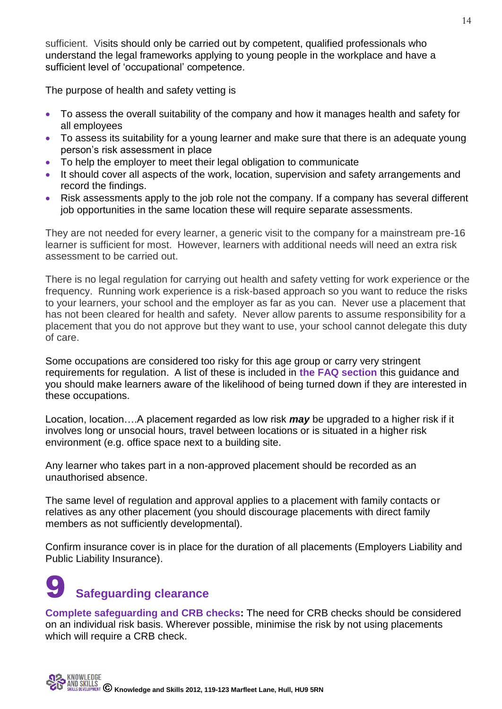sufficient. Visits should only be carried out by competent, qualified professionals who understand the legal frameworks applying to young people in the workplace and have a sufficient level of 'occupational' competence.

The purpose of health and safety vetting is

- To assess the overall suitability of the company and how it manages health and safety for all employees
- To assess its suitability for a young learner and make sure that there is an adequate young person's risk assessment in place
- To help the employer to meet their legal obligation to communicate
- It should cover all aspects of the work, location, supervision and safety arrangements and record the findings.
- Risk assessments apply to the job role not the company. If a company has several different job opportunities in the same location these will require separate assessments.

They are not needed for every learner, a generic visit to the company for a mainstream pre-16 learner is sufficient for most. However, learners with additional needs will need an extra risk assessment to be carried out.

There is no legal regulation for carrying out health and safety vetting for work experience or the frequency. Running work experience is a risk-based approach so you want to reduce the risks to your learners, your school and the employer as far as you can. Never use a placement that has not been cleared for health and safety. Never allow parents to assume responsibility for a placement that you do not approve but they want to use, your school cannot delegate this duty of care.

Some occupations are considered too risky for this age group or carry very stringent requirements for regulation. A list of these is included in **the FAQ section** this guidance and you should make learners aware of the likelihood of being turned down if they are interested in these occupations.

Location, location….A placement regarded as low risk *may* be upgraded to a higher risk if it involves long or unsocial hours, travel between locations or is situated in a higher risk environment (e.g. office space next to a building site.

Any learner who takes part in a non-approved placement should be recorded as an unauthorised absence.

The same level of regulation and approval applies to a placement with family contacts or relatives as any other placement (you should discourage placements with direct family members as not sufficiently developmental).

Confirm insurance cover is in place for the duration of all placements (Employers Liability and Public Liability Insurance).

## **Safeguarding clearance**

**Complete safeguarding and CRB checks:** The need for CRB checks should be considered on an individual risk basis. Wherever possible, minimise the risk by not using placements which will require a CRB check.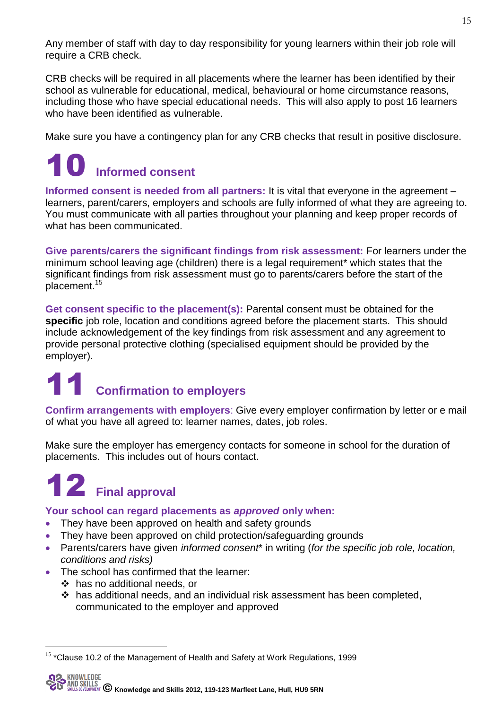Any member of staff with day to day responsibility for young learners within their job role will require a CRB check.

CRB checks will be required in all placements where the learner has been identified by their school as vulnerable for educational, medical, behavioural or home circumstance reasons, including those who have special educational needs. This will also apply to post 16 learners who have been identified as vulnerable.

Make sure you have a contingency plan for any CRB checks that result in positive disclosure.

## 10 **Informed consent**

**Informed consent is needed from all partners:** It is vital that everyone in the agreement – learners, parent/carers, employers and schools are fully informed of what they are agreeing to. You must communicate with all parties throughout your planning and keep proper records of what has been communicated.

**Give parents/carers the significant findings from risk assessment:** For learners under the minimum school leaving age (children) there is a legal requirement\* which states that the significant findings from risk assessment must go to parents/carers before the start of the placement.<sup>15</sup>

**Get consent specific to the placement(s):** Parental consent must be obtained for the **specific** job role, location and conditions agreed before the placement starts. This should include acknowledgement of the key findings from risk assessment and any agreement to provide personal protective clothing (specialised equipment should be provided by the employer).

# **211 Confirmation to employers**

**Confirm arrangements with employers**: Give every employer confirmation by letter or e mail of what you have all agreed to: learner names, dates, job roles.

Make sure the employer has emergency contacts for someone in school for the duration of placements. This includes out of hours contact.

# 12 **Final approval**

### **Your school can regard placements as** *approved* **only when:**

- They have been approved on health and safety grounds
- They have been approved on child protection/safeguarding grounds
- Parents/carers have given *informed consent*\* in writing (*for the specific job role, location, conditions and risks)*
- The school has confirmed that the learner:
	- has no additional needs, or

<u>.</u>

 has additional needs, and an individual risk assessment has been completed, communicated to the employer and approved

 $15$  \*Clause 10.2 of the Management of Health and Safety at Work Regulations, 1999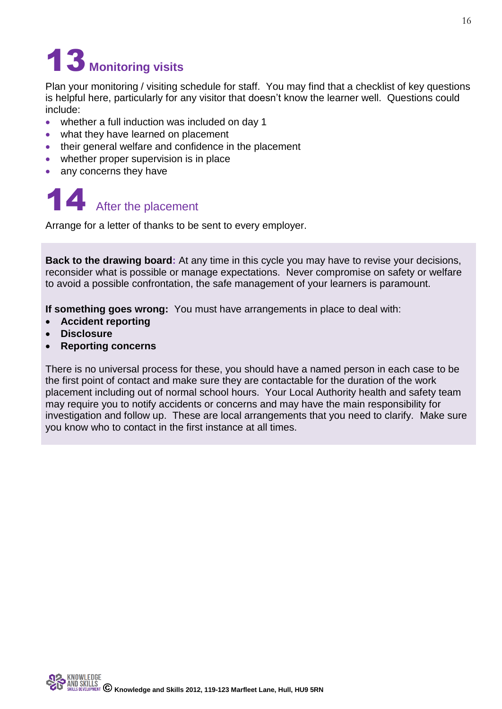# 13 **Monitoring visits**

Plan your monitoring / visiting schedule for staff. You may find that a checklist of key questions is helpful here, particularly for any visitor that doesn't know the learner well. Questions could include:

- whether a full induction was included on day 1
- what they have learned on placement
- their general welfare and confidence in the placement
- whether proper supervision is in place
- any concerns they have

# 14 After the placement

Arrange for a letter of thanks to be sent to every employer.

**Back to the drawing board:** At any time in this cycle you may have to revise your decisions, reconsider what is possible or manage expectations. Never compromise on safety or welfare to avoid a possible confrontation, the safe management of your learners is paramount.

**If something goes wrong:** You must have arrangements in place to deal with:

- **Accident reporting**
- **Disclosure**
- **Reporting concerns**

There is no universal process for these, you should have a named person in each case to be the first point of contact and make sure they are contactable for the duration of the work placement including out of normal school hours. Your Local Authority health and safety team may require you to notify accidents or concerns and may have the main responsibility for investigation and follow up. These are local arrangements that you need to clarify. Make sure you know who to contact in the first instance at all times.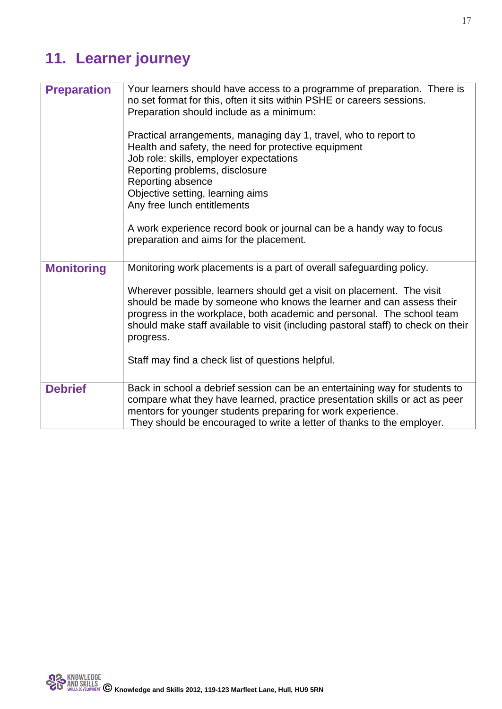## **11. Learner journey**

| <b>Preparation</b> | Your learners should have access to a programme of preparation. There is<br>no set format for this, often it sits within PSHE or careers sessions.<br>Preparation should include as a minimum:<br>Practical arrangements, managing day 1, travel, who to report to<br>Health and safety, the need for protective equipment<br>Job role: skills, employer expectations<br>Reporting problems, disclosure<br>Reporting absence<br>Objective setting, learning aims<br>Any free lunch entitlements<br>A work experience record book or journal can be a handy way to focus<br>preparation and aims for the placement. |
|--------------------|--------------------------------------------------------------------------------------------------------------------------------------------------------------------------------------------------------------------------------------------------------------------------------------------------------------------------------------------------------------------------------------------------------------------------------------------------------------------------------------------------------------------------------------------------------------------------------------------------------------------|
| <b>Monitoring</b>  | Monitoring work placements is a part of overall safeguarding policy.                                                                                                                                                                                                                                                                                                                                                                                                                                                                                                                                               |
|                    | Wherever possible, learners should get a visit on placement. The visit<br>should be made by someone who knows the learner and can assess their<br>progress in the workplace, both academic and personal. The school team<br>should make staff available to visit (including pastoral staff) to check on their<br>progress.                                                                                                                                                                                                                                                                                         |
|                    | Staff may find a check list of questions helpful.                                                                                                                                                                                                                                                                                                                                                                                                                                                                                                                                                                  |
| <b>Debrief</b>     | Back in school a debrief session can be an entertaining way for students to<br>compare what they have learned, practice presentation skills or act as peer<br>mentors for younger students preparing for work experience.<br>They should be encouraged to write a letter of thanks to the employer.                                                                                                                                                                                                                                                                                                                |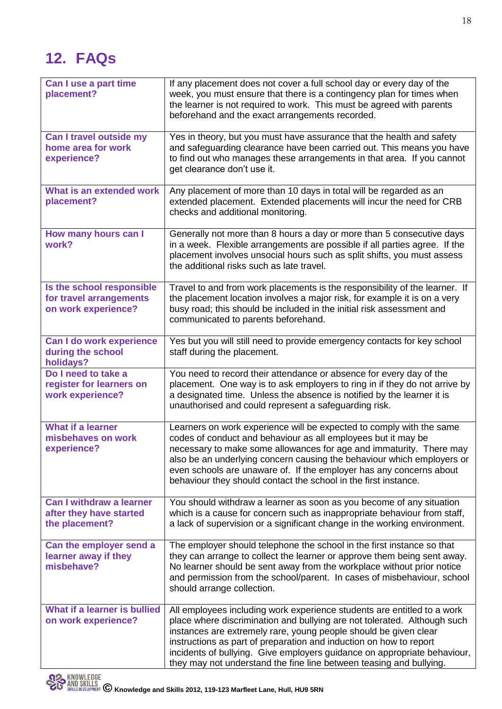## **12. FAQs**

| Can I use a part time<br>placement?                                          | If any placement does not cover a full school day or every day of the<br>week, you must ensure that there is a contingency plan for times when<br>the learner is not required to work. This must be agreed with parents<br>beforehand and the exact arrangements recorded.                                                                                                                                                                       |
|------------------------------------------------------------------------------|--------------------------------------------------------------------------------------------------------------------------------------------------------------------------------------------------------------------------------------------------------------------------------------------------------------------------------------------------------------------------------------------------------------------------------------------------|
| Can I travel outside my<br>home area for work<br>experience?                 | Yes in theory, but you must have assurance that the health and safety<br>and safeguarding clearance have been carried out. This means you have<br>to find out who manages these arrangements in that area. If you cannot<br>get clearance don't use it.                                                                                                                                                                                          |
| What is an extended work<br>placement?                                       | Any placement of more than 10 days in total will be regarded as an<br>extended placement. Extended placements will incur the need for CRB<br>checks and additional monitoring.                                                                                                                                                                                                                                                                   |
| How many hours can I<br>work?                                                | Generally not more than 8 hours a day or more than 5 consecutive days<br>in a week. Flexible arrangements are possible if all parties agree. If the<br>placement involves unsocial hours such as split shifts, you must assess<br>the additional risks such as late travel.                                                                                                                                                                      |
| Is the school responsible<br>for travel arrangements<br>on work experience?  | Travel to and from work placements is the responsibility of the learner. If<br>the placement location involves a major risk, for example it is on a very<br>busy road; this should be included in the initial risk assessment and<br>communicated to parents beforehand.                                                                                                                                                                         |
| Can I do work experience<br>during the school<br>holidays?                   | Yes but you will still need to provide emergency contacts for key school<br>staff during the placement.                                                                                                                                                                                                                                                                                                                                          |
| Do I need to take a<br>register for learners on<br>work experience?          | You need to record their attendance or absence for every day of the<br>placement. One way is to ask employers to ring in if they do not arrive by<br>a designated time. Unless the absence is notified by the learner it is<br>unauthorised and could represent a safeguarding risk.                                                                                                                                                             |
| <b>What if a learner</b><br>misbehaves on work<br>experience?                | Learners on work experience will be expected to comply with the same<br>codes of conduct and behaviour as all employees but it may be<br>necessary to make some allowances for age and immaturity. There may<br>also be an underlying concern causing the behaviour which employers or<br>even schools are unaware of. If the employer has any concerns about<br>behaviour they should contact the school in the first instance.                 |
| <b>Can I withdraw a learner</b><br>after they have started<br>the placement? | You should withdraw a learner as soon as you become of any situation<br>which is a cause for concern such as inappropriate behaviour from staff,<br>a lack of supervision or a significant change in the working environment.                                                                                                                                                                                                                    |
| Can the employer send a<br>learner away if they<br>misbehave?                | The employer should telephone the school in the first instance so that<br>they can arrange to collect the learner or approve them being sent away.<br>No learner should be sent away from the workplace without prior notice<br>and permission from the school/parent. In cases of misbehaviour, school<br>should arrange collection.                                                                                                            |
| What if a learner is bullied<br>on work experience?                          | All employees including work experience students are entitled to a work<br>place where discrimination and bullying are not tolerated. Although such<br>instances are extremely rare, young people should be given clear<br>instructions as part of preparation and induction on how to report<br>incidents of bullying. Give employers guidance on appropriate behaviour,<br>they may not understand the fine line between teasing and bullying. |

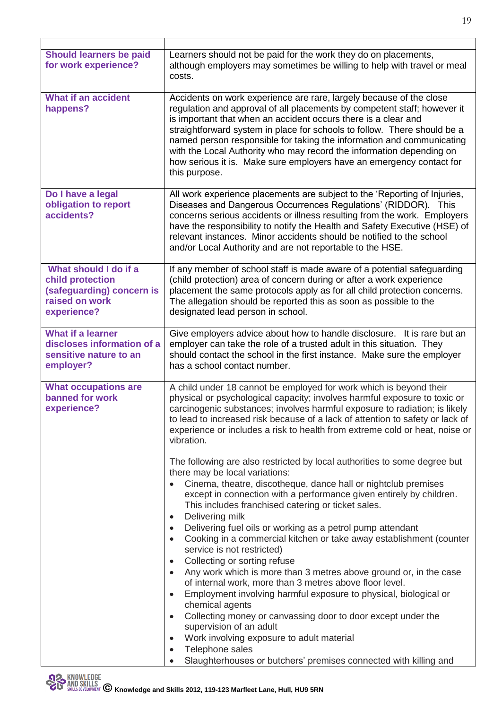| <b>Should learners be paid</b><br>for work experience?                                                  | Learners should not be paid for the work they do on placements,<br>although employers may sometimes be willing to help with travel or meal<br>costs.                                                                                                                                                                                                                                                                                                                                                                                                                                                                                                                                                                                                                                                                                                                                                                                                                                                                                    |
|---------------------------------------------------------------------------------------------------------|-----------------------------------------------------------------------------------------------------------------------------------------------------------------------------------------------------------------------------------------------------------------------------------------------------------------------------------------------------------------------------------------------------------------------------------------------------------------------------------------------------------------------------------------------------------------------------------------------------------------------------------------------------------------------------------------------------------------------------------------------------------------------------------------------------------------------------------------------------------------------------------------------------------------------------------------------------------------------------------------------------------------------------------------|
| <b>What if an accident</b><br>happens?                                                                  | Accidents on work experience are rare, largely because of the close<br>regulation and approval of all placements by competent staff; however it<br>is important that when an accident occurs there is a clear and<br>straightforward system in place for schools to follow. There should be a<br>named person responsible for taking the information and communicating<br>with the Local Authority who may record the information depending on<br>how serious it is. Make sure employers have an emergency contact for<br>this purpose.                                                                                                                                                                                                                                                                                                                                                                                                                                                                                                 |
| Do I have a legal<br>obligation to report<br>accidents?                                                 | All work experience placements are subject to the 'Reporting of Injuries,<br>Diseases and Dangerous Occurrences Regulations' (RIDDOR). This<br>concerns serious accidents or illness resulting from the work. Employers<br>have the responsibility to notify the Health and Safety Executive (HSE) of<br>relevant instances. Minor accidents should be notified to the school<br>and/or Local Authority and are not reportable to the HSE.                                                                                                                                                                                                                                                                                                                                                                                                                                                                                                                                                                                              |
| What should I do if a<br>child protection<br>(safeguarding) concern is<br>raised on work<br>experience? | If any member of school staff is made aware of a potential safeguarding<br>(child protection) area of concern during or after a work experience<br>placement the same protocols apply as for all child protection concerns.<br>The allegation should be reported this as soon as possible to the<br>designated lead person in school.                                                                                                                                                                                                                                                                                                                                                                                                                                                                                                                                                                                                                                                                                                   |
| <b>What if a learner</b><br>discloses information of a<br>sensitive nature to an<br>employer?           | Give employers advice about how to handle disclosure. It is rare but an<br>employer can take the role of a trusted adult in this situation. They<br>should contact the school in the first instance. Make sure the employer<br>has a school contact number.                                                                                                                                                                                                                                                                                                                                                                                                                                                                                                                                                                                                                                                                                                                                                                             |
| <b>What occupations are</b><br>banned for work<br>experience?                                           | A child under 18 cannot be employed for work which is beyond their<br>physical or psychological capacity; involves harmful exposure to toxic or<br>carcinogenic substances; involves harmful exposure to radiation; is likely<br>to lead to increased risk because of a lack of attention to safety or lack of<br>experience or includes a risk to health from extreme cold or heat, noise or<br>vibration.                                                                                                                                                                                                                                                                                                                                                                                                                                                                                                                                                                                                                             |
|                                                                                                         | The following are also restricted by local authorities to some degree but<br>there may be local variations:<br>Cinema, theatre, discotheque, dance hall or nightclub premises<br>except in connection with a performance given entirely by children.<br>This includes franchised catering or ticket sales.<br>Delivering milk<br>$\bullet$<br>Delivering fuel oils or working as a petrol pump attendant<br>$\bullet$<br>Cooking in a commercial kitchen or take away establishment (counter<br>$\bullet$<br>service is not restricted)<br>Collecting or sorting refuse<br>$\bullet$<br>Any work which is more than 3 metres above ground or, in the case<br>$\bullet$<br>of internal work, more than 3 metres above floor level.<br>Employment involving harmful exposure to physical, biological or<br>$\bullet$<br>chemical agents<br>Collecting money or canvassing door to door except under the<br>$\bullet$<br>supervision of an adult<br>Work involving exposure to adult material<br>$\bullet$<br>Telephone sales<br>$\bullet$ |
|                                                                                                         | Slaughterhouses or butchers' premises connected with killing and                                                                                                                                                                                                                                                                                                                                                                                                                                                                                                                                                                                                                                                                                                                                                                                                                                                                                                                                                                        |

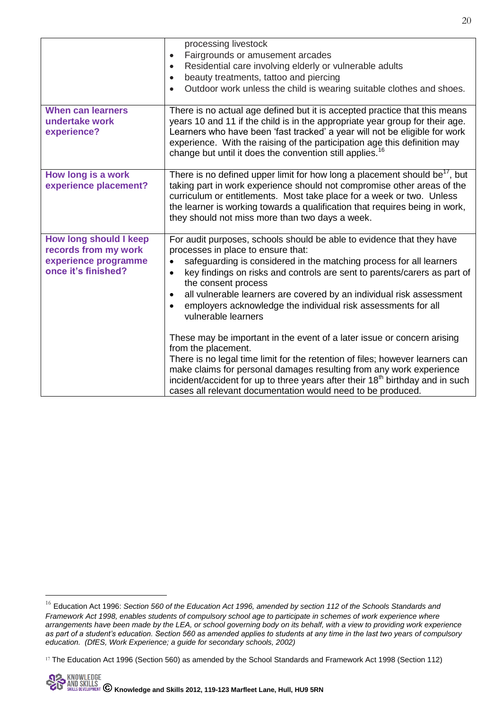| There is no actual age defined but it is accepted practice that this means<br>years 10 and 11 if the child is in the appropriate year group for their age.<br>Learners who have been 'fast tracked' a year will not be eligible for work                                                                                                                                                                                                                                                                                                                                                                                                                                                                                                                                                                     |
|--------------------------------------------------------------------------------------------------------------------------------------------------------------------------------------------------------------------------------------------------------------------------------------------------------------------------------------------------------------------------------------------------------------------------------------------------------------------------------------------------------------------------------------------------------------------------------------------------------------------------------------------------------------------------------------------------------------------------------------------------------------------------------------------------------------|
| experience. With the raising of the participation age this definition may<br>change but until it does the convention still applies. <sup>16</sup>                                                                                                                                                                                                                                                                                                                                                                                                                                                                                                                                                                                                                                                            |
| There is no defined upper limit for how long a placement should be <sup>17</sup> , but<br>taking part in work experience should not compromise other areas of the<br>curriculum or entitlements. Most take place for a week or two. Unless<br>the learner is working towards a qualification that requires being in work,<br>they should not miss more than two days a week.                                                                                                                                                                                                                                                                                                                                                                                                                                 |
| For audit purposes, schools should be able to evidence that they have<br>processes in place to ensure that:<br>safeguarding is considered in the matching process for all learners<br>key findings on risks and controls are sent to parents/carers as part of<br>the consent process<br>all vulnerable learners are covered by an individual risk assessment<br>employers acknowledge the individual risk assessments for all<br>vulnerable learners<br>These may be important in the event of a later issue or concern arising<br>from the placement.<br>There is no legal time limit for the retention of files; however learners can<br>make claims for personal damages resulting from any work experience<br>incident/accident for up to three years after their 18 <sup>th</sup> birthday and in such |
| cases all relevant documentation would need to be produced.                                                                                                                                                                                                                                                                                                                                                                                                                                                                                                                                                                                                                                                                                                                                                  |

-

<sup>16</sup> Education Act 1996: *Section 560 of the Education Act 1996, amended by section 112 of the Schools Standards and Framework Act 1998, enables students of compulsory school age to participate in schemes of work experience where arrangements have been made by the LEA, or school governing body on its behalf, with a view to providing work experience as part of a student's education. Section 560 as amended applies to students at any time in the last two years of compulsory education. (DfES, Work Experience; a guide for secondary schools, 2002)*

<sup>17</sup> The Education Act 1996 (Section 560) as amended by the School Standards and Framework Act 1998 (Section 112)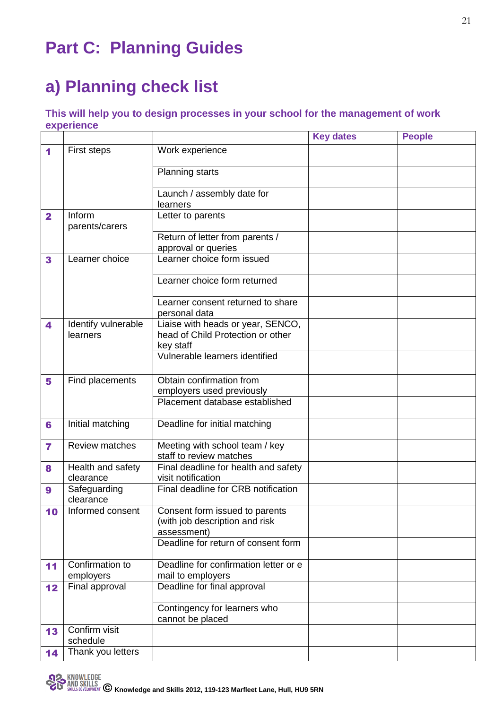## **Part C: Planning Guides**

## **a) Planning check list**

### **This will help you to design processes in your school for the management of work experience**

|              |                           |                                                           | <b>Key dates</b> | <b>People</b> |
|--------------|---------------------------|-----------------------------------------------------------|------------------|---------------|
| 1            | First steps               | Work experience                                           |                  |               |
|              |                           | <b>Planning starts</b>                                    |                  |               |
|              |                           | Launch / assembly date for                                |                  |               |
|              | Inform                    | learners<br>Letter to parents                             |                  |               |
| $\mathbf{2}$ | parents/carers            |                                                           |                  |               |
|              |                           | Return of letter from parents /                           |                  |               |
|              |                           | approval or queries                                       |                  |               |
| 3            | Learner choice            | Learner choice form issued                                |                  |               |
|              |                           | Learner choice form returned                              |                  |               |
|              |                           | Learner consent returned to share<br>personal data        |                  |               |
| 4            | Identify vulnerable       | Liaise with heads or year, SENCO,                         |                  |               |
|              | learners                  | head of Child Protection or other                         |                  |               |
|              |                           | key staff<br>Vulnerable learners identified               |                  |               |
|              |                           |                                                           |                  |               |
| 5            | Find placements           | Obtain confirmation from                                  |                  |               |
|              |                           | employers used previously                                 |                  |               |
|              |                           | Placement database established                            |                  |               |
| 6            | Initial matching          | Deadline for initial matching                             |                  |               |
| 7            | <b>Review matches</b>     | Meeting with school team / key<br>staff to review matches |                  |               |
| 8            | Health and safety         | Final deadline for health and safety                      |                  |               |
|              | clearance                 | visit notification                                        |                  |               |
| 9            | Safeguarding<br>clearance | Final deadline for CRB notification                       |                  |               |
| 10           | Informed consent          | Consent form issued to parents                            |                  |               |
|              |                           | (with job description and risk                            |                  |               |
|              |                           | assessment)                                               |                  |               |
|              |                           | Deadline for return of consent form                       |                  |               |
| 11           | Confirmation to           | Deadline for confirmation letter or e                     |                  |               |
|              | employers                 | mail to employers                                         |                  |               |
| 12           | Final approval            | Deadline for final approval                               |                  |               |
|              |                           | Contingency for learners who<br>cannot be placed          |                  |               |
| 13           | Confirm visit<br>schedule |                                                           |                  |               |
| 14           | Thank you letters         |                                                           |                  |               |
|              |                           |                                                           |                  |               |

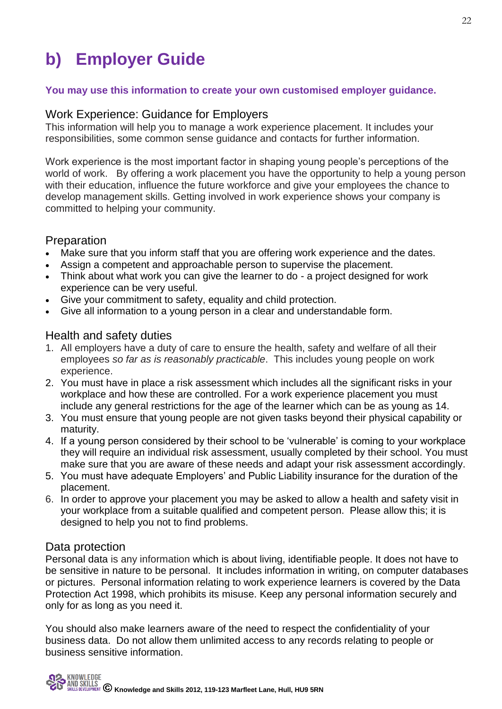## **b) Employer Guide**

### **You may use this information to create your own customised employer guidance.**

### Work Experience: Guidance for Employers

This information will help you to manage a work experience placement. It includes your responsibilities, some common sense guidance and contacts for further information.

Work experience is the most important factor in shaping young people's perceptions of the world of work. By offering a work placement you have the opportunity to help a young person with their education, influence the future workforce and give your employees the chance to develop management skills. Getting involved in work experience shows your company is committed to helping your community.

### Preparation

- Make sure that you inform staff that you are offering work experience and the dates.
- Assign a competent and approachable person to supervise the placement.
- Think about what work you can give the learner to do a project designed for work experience can be very useful.
- Give your commitment to safety, equality and child protection.
- Give all information to a young person in a clear and understandable form.

### Health and safety duties

- 1. All employers have a duty of care to ensure the health, safety and welfare of all their employees *so far as is reasonably practicable*. This includes young people on work experience.
- 2. You must have in place a risk assessment which includes all the significant risks in your workplace and how these are controlled. For a work experience placement you must include any general restrictions for the age of the learner which can be as young as 14.
- 3. You must ensure that young people are not given tasks beyond their physical capability or maturity.
- 4. If a young person considered by their school to be 'vulnerable' is coming to your workplace they will require an individual risk assessment, usually completed by their school. You must make sure that you are aware of these needs and adapt your risk assessment accordingly.
- 5. You must have adequate Employers' and Public Liability insurance for the duration of the placement.
- 6. In order to approve your placement you may be asked to allow a health and safety visit in your workplace from a suitable qualified and competent person. Please allow this; it is designed to help you not to find problems.

### Data protection

Personal data is any information which is about living, identifiable people. It does not have to be sensitive in nature to be personal. It includes information in writing, on computer databases or pictures. Personal information relating to work experience learners is covered by the Data Protection Act 1998, which prohibits its misuse. Keep any personal information securely and only for as long as you need it.

You should also make learners aware of the need to respect the confidentiality of your business data. Do not allow them unlimited access to any records relating to people or business sensitive information.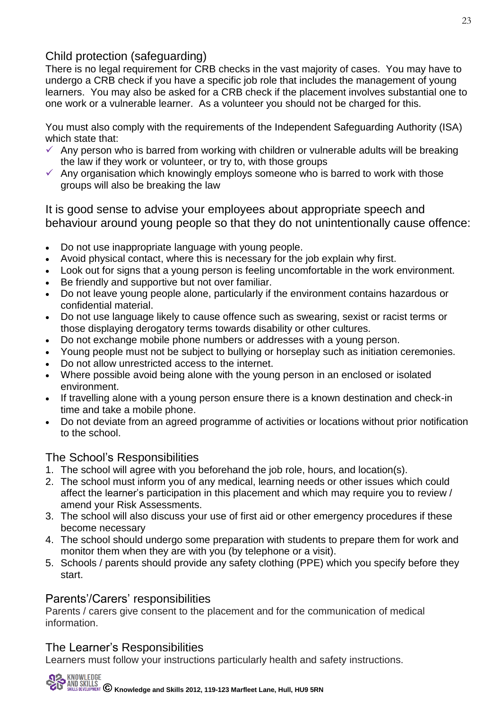### Child protection (safeguarding)

There is no legal requirement for CRB checks in the vast majority of cases. You may have to undergo a CRB check if you have a specific job role that includes the management of young learners. You may also be asked for a CRB check if the placement involves substantial one to one work or a vulnerable learner. As a volunteer you should not be charged for this.

You must also comply with the requirements of the Independent Safeguarding Authority (ISA) which state that:

- $\checkmark$  Any person who is barred from working with children or vulnerable adults will be breaking the law if they work or volunteer, or try to, with those groups
- $\checkmark$  Any organisation which knowingly employs someone who is barred to work with those groups will also be breaking the law

It is good sense to advise your employees about appropriate speech and behaviour around young people so that they do not unintentionally cause offence:

- Do not use inappropriate language with young people.
- Avoid physical contact, where this is necessary for the job explain why first.
- Look out for signs that a young person is feeling uncomfortable in the work environment.
- Be friendly and supportive but not over familiar.
- Do not leave young people alone, particularly if the environment contains hazardous or confidential material.
- Do not use language likely to cause offence such as swearing, sexist or racist terms or those displaying derogatory terms towards disability or other cultures.
- Do not exchange mobile phone numbers or addresses with a young person.
- Young people must not be subject to bullying or horseplay such as initiation ceremonies.
- Do not allow unrestricted access to the internet.
- Where possible avoid being alone with the young person in an enclosed or isolated environment.
- If travelling alone with a young person ensure there is a known destination and check-in time and take a mobile phone.
- Do not deviate from an agreed programme of activities or locations without prior notification to the school.

### The School's Responsibilities

- 1. The school will agree with you beforehand the job role, hours, and location(s).
- 2. The school must inform you of any medical, learning needs or other issues which could affect the learner's participation in this placement and which may require you to review / amend your Risk Assessments.
- 3. The school will also discuss your use of first aid or other emergency procedures if these become necessary
- 4. The school should undergo some preparation with students to prepare them for work and monitor them when they are with you (by telephone or a visit).
- 5. Schools / parents should provide any safety clothing (PPE) which you specify before they start.

### Parents'/Carers' responsibilities

Parents / carers give consent to the placement and for the communication of medical information.

### The Learner's Responsibilities

Learners must follow your instructions particularly health and safety instructions.

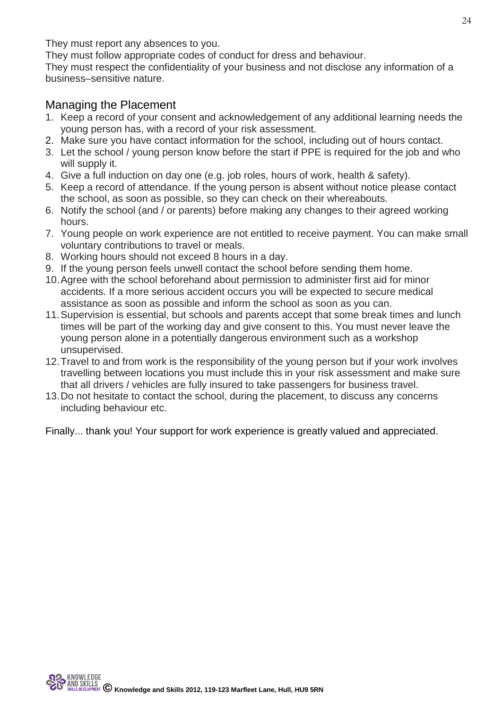They must report any absences to you.

They must follow appropriate codes of conduct for dress and behaviour.

They must respect the confidentiality of your business and not disclose any information of a business–sensitive nature.

### Managing the Placement

- 1. Keep a record of your consent and acknowledgement of any additional learning needs the young person has, with a record of your risk assessment.
- 2. Make sure you have contact information for the school, including out of hours contact.
- 3. Let the school / young person know before the start if PPE is required for the job and who will supply it.
- 4. Give a full induction on day one (e.g. job roles, hours of work, health & safety).
- 5. Keep a record of attendance. If the young person is absent without notice please contact the school, as soon as possible, so they can check on their whereabouts.
- 6. Notify the school (and / or parents) before making any changes to their agreed working hours.
- 7. Young people on work experience are not entitled to receive payment. You can make small voluntary contributions to travel or meals.
- 8. Working hours should not exceed 8 hours in a day.
- 9. If the young person feels unwell contact the school before sending them home.
- 10.Agree with the school beforehand about permission to administer first aid for minor accidents. If a more serious accident occurs you will be expected to secure medical assistance as soon as possible and inform the school as soon as you can.
- 11.Supervision is essential, but schools and parents accept that some break times and lunch times will be part of the working day and give consent to this. You must never leave the young person alone in a potentially dangerous environment such as a workshop unsupervised.
- 12.Travel to and from work is the responsibility of the young person but if your work involves travelling between locations you must include this in your risk assessment and make sure that all drivers / vehicles are fully insured to take passengers for business travel.
- 13.Do not hesitate to contact the school, during the placement, to discuss any concerns including behaviour etc.

Finally... thank you! Your support for work experience is greatly valued and appreciated.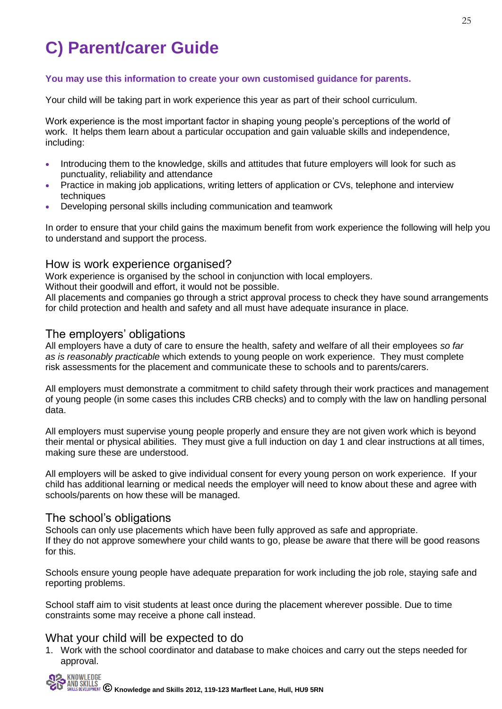## **C) Parent/carer Guide**

#### **You may use this information to create your own customised guidance for parents.**

Your child will be taking part in work experience this year as part of their school curriculum.

Work experience is the most important factor in shaping young people's perceptions of the world of work. It helps them learn about a particular occupation and gain valuable skills and independence, including:

- Introducing them to the knowledge, skills and attitudes that future employers will look for such as punctuality, reliability and attendance
- Practice in making job applications, writing letters of application or CVs, telephone and interview techniques
- Developing personal skills including communication and teamwork

In order to ensure that your child gains the maximum benefit from work experience the following will help you to understand and support the process.

#### How is work experience organised?

Work experience is organised by the school in conjunction with local employers.

Without their goodwill and effort, it would not be possible.

All placements and companies go through a strict approval process to check they have sound arrangements for child protection and health and safety and all must have adequate insurance in place.

### The employers' obligations

All employers have a duty of care to ensure the health, safety and welfare of all their employees *so far as is reasonably practicable* which extends to young people on work experience. They must complete risk assessments for the placement and communicate these to schools and to parents/carers.

All employers must demonstrate a commitment to child safety through their work practices and management of young people (in some cases this includes CRB checks) and to comply with the law on handling personal data.

All employers must supervise young people properly and ensure they are not given work which is beyond their mental or physical abilities. They must give a full induction on day 1 and clear instructions at all times, making sure these are understood.

All employers will be asked to give individual consent for every young person on work experience. If your child has additional learning or medical needs the employer will need to know about these and agree with schools/parents on how these will be managed.

#### The school's obligations

Schools can only use placements which have been fully approved as safe and appropriate. If they do not approve somewhere your child wants to go, please be aware that there will be good reasons for this.

Schools ensure young people have adequate preparation for work including the job role, staying safe and reporting problems.

School staff aim to visit students at least once during the placement wherever possible. Due to time constraints some may receive a phone call instead.

#### What your child will be expected to do

1. Work with the school coordinator and database to make choices and carry out the steps needed for approval.